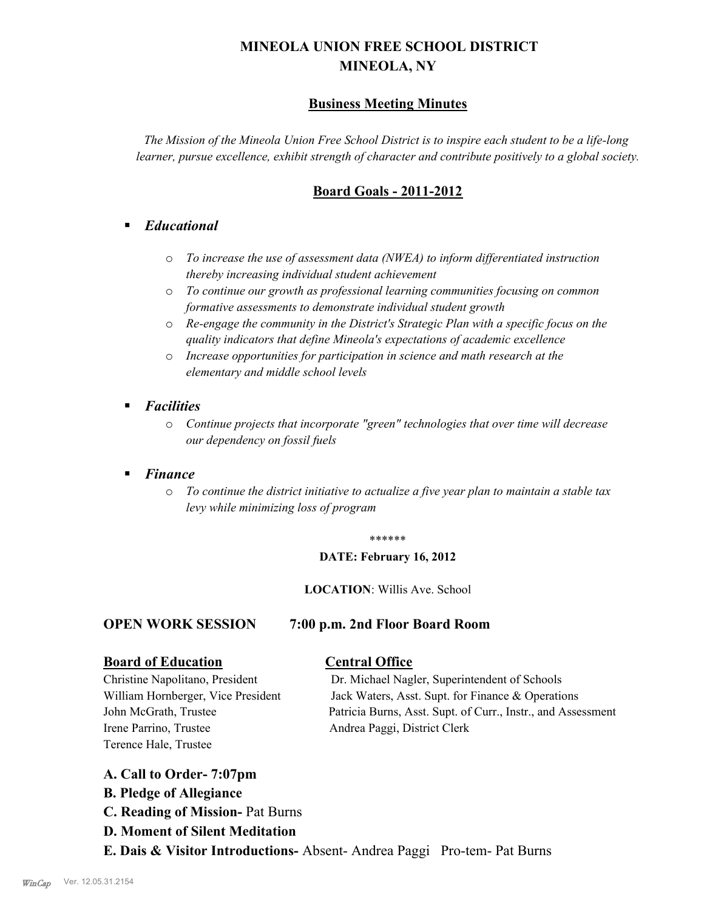# **MINEOLA UNION FREE SCHOOL DISTRICT MINEOLA, NY**

## **Business Meeting Minutes**

*The Mission of the Mineola Union Free School District is to inspire each student to be a life-long learner, pursue excellence, exhibit strength of character and contribute positively to a global society.*

## **Board Goals - 2011-2012**

## § *Educational*

- o *To increase the use of assessment data (NWEA) to inform differentiated instruction thereby increasing individual student achievement*
- o *To continue our growth as professional learning communities focusing on common formative assessments to demonstrate individual student growth*
- o *Re-engage the community in the District's Strategic Plan with a specific focus on the quality indicators that define Mineola's expectations of academic excellence*
- o *Increase opportunities for participation in science and math research at the elementary and middle school levels*
- *Facilities* 
	- o *Continue projects that incorporate "green" technologies that over time will decrease our dependency on fossil fuels*

## § *Finance*

o *To continue the district initiative to actualize a five year plan to maintain a stable tax levy while minimizing loss of program*

#### \*\*\*\*\*\*

#### **DATE: February 16, 2012**

#### **LOCATION**: Willis Ave. School

### **OPEN WORK SESSION 7:00 p.m. 2nd Floor Board Room**

### **Board of Education Central Office**

Irene Parrino, Trustee Andrea Paggi, District Clerk Terence Hale, Trustee

Christine Napolitano, President Dr. Michael Nagler, Superintendent of Schools William Hornberger, Vice President Jack Waters, Asst. Supt. for Finance & Operations John McGrath, Trustee Patricia Burns, Asst. Supt. of Curr., Instr., and Assessment

- **A. Call to Order- 7:07pm**
- **B. Pledge of Allegiance**
- **C. Reading of Mission-** Pat Burns
- **D. Moment of Silent Meditation**
- **E. Dais & Visitor Introductions-** Absent- Andrea Paggi Pro-tem- Pat Burns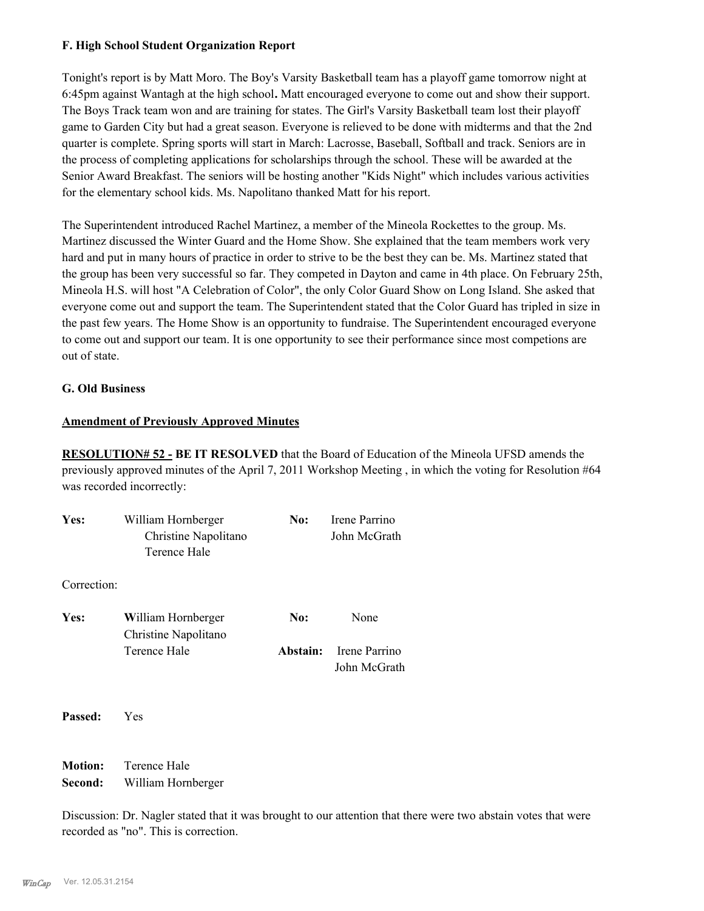#### **F. High School Student Organization Report**

Tonight's report is by Matt Moro. The Boy's Varsity Basketball team has a playoff game tomorrow night at 6:45pm against Wantagh at the high school**.** Matt encouraged everyone to come out and show their support. The Boys Track team won and are training for states. The Girl's Varsity Basketball team lost their playoff game to Garden City but had a great season. Everyone is relieved to be done with midterms and that the 2nd quarter is complete. Spring sports will start in March: Lacrosse, Baseball, Softball and track. Seniors are in the process of completing applications for scholarships through the school. These will be awarded at the Senior Award Breakfast. The seniors will be hosting another "Kids Night" which includes various activities for the elementary school kids. Ms. Napolitano thanked Matt for his report.

The Superintendent introduced Rachel Martinez, a member of the Mineola Rockettes to the group. Ms. Martinez discussed the Winter Guard and the Home Show. She explained that the team members work very hard and put in many hours of practice in order to strive to be the best they can be. Ms. Martinez stated that the group has been very successful so far. They competed in Dayton and came in 4th place. On February 25th, Mineola H.S. will host "A Celebration of Color", the only Color Guard Show on Long Island. She asked that everyone come out and support the team. The Superintendent stated that the Color Guard has tripled in size in the past few years. The Home Show is an opportunity to fundraise. The Superintendent encouraged everyone to come out and support our team. It is one opportunity to see their performance since most competions are out of state.

#### **G. Old Business**

#### **Amendment of Previously Approved Minutes**

**RESOLUTION# 52 - BE IT RESOLVED** that the Board of Education of the Mineola UFSD amends the previously approved minutes of the April 7, 2011 Workshop Meeting , in which the voting for Resolution #64 was recorded incorrectly:

| Yes:        | William Hornberger<br>Christine Napolitano<br>Terence Hale | No:      | Irene Parrino<br>John McGrath |
|-------------|------------------------------------------------------------|----------|-------------------------------|
| Correction: |                                                            |          |                               |
| Yes:        | William Hornberger<br>Christine Napolitano                 | No:      | None                          |
|             | Terence Hale                                               | Abstain: | Irene Parrino<br>John McGrath |
| Passed:     | Yes                                                        |          |                               |

**Motion:** Terence Hale **Second:** William Hornberger

Discussion: Dr. Nagler stated that it was brought to our attention that there were two abstain votes that were recorded as "no". This is correction.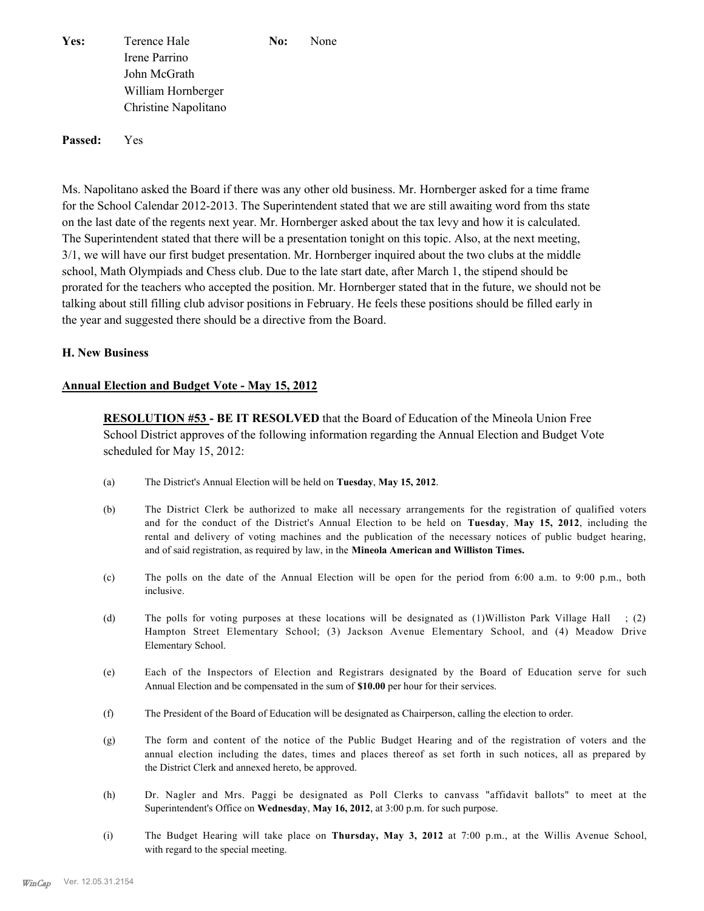**Yes:** Terence Hale **No:** None Irene Parrino John McGrath William Hornberger Christine Napolitano

**Passed:** Yes

Ms. Napolitano asked the Board if there was any other old business. Mr. Hornberger asked for a time frame for the School Calendar 2012-2013. The Superintendent stated that we are still awaiting word from ths state on the last date of the regents next year. Mr. Hornberger asked about the tax levy and how it is calculated. The Superintendent stated that there will be a presentation tonight on this topic. Also, at the next meeting, 3/1, we will have our first budget presentation. Mr. Hornberger inquired about the two clubs at the middle school, Math Olympiads and Chess club. Due to the late start date, after March 1, the stipend should be prorated for the teachers who accepted the position. Mr. Hornberger stated that in the future, we should not be talking about still filling club advisor positions in February. He feels these positions should be filled early in the year and suggested there should be a directive from the Board.

#### **H. New Business**

#### **Annual Election and Budget Vote - May 15, 2012**

**RESOLUTION #53 - BE IT RESOLVED** that the Board of Education of the Mineola Union Free School District approves of the following information regarding the Annual Election and Budget Vote scheduled for May 15, 2012:

- (a) The District's Annual Election will be held on **Tuesday**, **May 15, 2012**.
- (b) The District Clerk be authorized to make all necessary arrangements for the registration of qualified voters and for the conduct of the District's Annual Election to be held on **Tuesday**, **May 15, 2012**, including the rental and delivery of voting machines and the publication of the necessary notices of public budget hearing, and of said registration, as required by law, in the **Mineola American and Williston Times.**
- (c) The polls on the date of the Annual Election will be open for the period from 6:00 a.m. to 9:00 p.m., both inclusive.
- (d) The polls for voting purposes at these locations will be designated as (1)Williston Park Village Hall ; (2) Hampton Street Elementary School; (3) Jackson Avenue Elementary School, and (4) Meadow Drive Elementary School.
- (e) Each of the Inspectors of Election and Registrars designated by the Board of Education serve for such Annual Election and be compensated in the sum of **\$10.00** per hour for their services.
- (f) The President of the Board of Education will be designated as Chairperson, calling the election to order.
- (g) The form and content of the notice of the Public Budget Hearing and of the registration of voters and the annual election including the dates, times and places thereof as set forth in such notices, all as prepared by the District Clerk and annexed hereto, be approved.
- (h) Dr. Nagler and Mrs. Paggi be designated as Poll Clerks to canvass "affidavit ballots" to meet at the Superintendent's Office on **Wednesday**, **May 16, 2012**, at 3:00 p.m. for such purpose.
- (i) The Budget Hearing will take place on **Thursday, May 3, 2012** at 7:00 p.m., at the Willis Avenue School, with regard to the special meeting.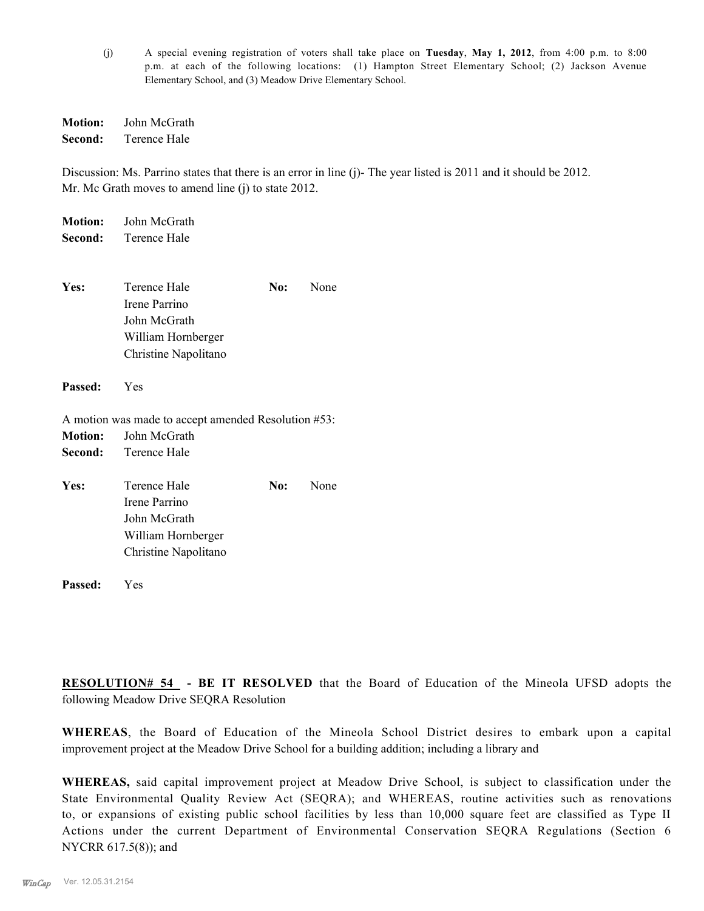(j) A special evening registration of voters shall take place on **Tuesday**, **May 1, 2012**, from 4:00 p.m. to 8:00 p.m. at each of the following locations: (1) Hampton Street Elementary School; (2) Jackson Avenue Elementary School, and (3) Meadow Drive Elementary School.

**Motion:** John McGrath **Second:** Terence Hale

Discussion: Ms. Parrino states that there is an error in line (j)- The year listed is 2011 and it should be 2012. Mr. Mc Grath moves to amend line (j) to state 2012.

| <b>Motion:</b> | John McGrath                                        |     |      |
|----------------|-----------------------------------------------------|-----|------|
| Second:        | Terence Hale                                        |     |      |
| Yes:           | Terence Hale                                        | No: | None |
|                | Irene Parrino                                       |     |      |
|                | John McGrath                                        |     |      |
|                | William Hornberger                                  |     |      |
|                |                                                     |     |      |
|                | Christine Napolitano                                |     |      |
| Passed:        | Yes                                                 |     |      |
|                | A motion was made to accept amended Resolution #53: |     |      |
| <b>Motion:</b> | John McGrath                                        |     |      |
| Second:        | Terence Hale                                        |     |      |
| Yes:           | Terence Hale                                        | No: | None |
|                | Irene Parrino                                       |     |      |
|                | John McGrath                                        |     |      |
|                | William Hornberger                                  |     |      |
|                | Christine Napolitano                                |     |      |
| Passed:        | Yes                                                 |     |      |

**RESOLUTION# 54 - BE IT RESOLVED** that the Board of Education of the Mineola UFSD adopts the following Meadow Drive SEQRA Resolution

**WHEREAS**, the Board of Education of the Mineola School District desires to embark upon a capital improvement project at the Meadow Drive School for a building addition; including a library and

**WHEREAS,** said capital improvement project at Meadow Drive School, is subject to classification under the State Environmental Quality Review Act (SEQRA); and WHEREAS, routine activities such as renovations to, or expansions of existing public school facilities by less than 10,000 square feet are classified as Type II Actions under the current Department of Environmental Conservation SEQRA Regulations (Section 6 NYCRR 617.5(8)); and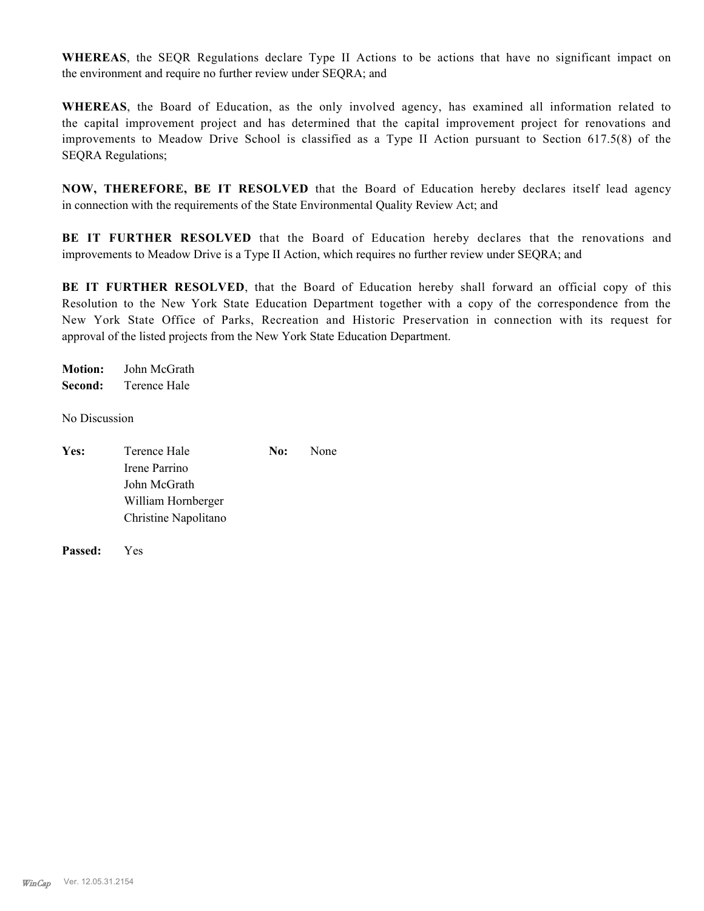**WHEREAS**, the SEQR Regulations declare Type II Actions to be actions that have no significant impact on the environment and require no further review under SEQRA; and

**WHEREAS**, the Board of Education, as the only involved agency, has examined all information related to the capital improvement project and has determined that the capital improvement project for renovations and improvements to Meadow Drive School is classified as a Type II Action pursuant to Section 617.5(8) of the SEQRA Regulations;

**NOW, THEREFORE, BE IT RESOLVED** that the Board of Education hereby declares itself lead agency in connection with the requirements of the State Environmental Quality Review Act; and

**BE IT FURTHER RESOLVED** that the Board of Education hereby declares that the renovations and improvements to Meadow Drive is a Type II Action, which requires no further review under SEQRA; and

**BE IT FURTHER RESOLVED**, that the Board of Education hereby shall forward an official copy of this Resolution to the New York State Education Department together with a copy of the correspondence from the New York State Office of Parks, Recreation and Historic Preservation in connection with its request for approval of the listed projects from the New York State Education Department.

**Motion:** John McGrath **Second:** Terence Hale

No Discussion

| Yes: | Terence Hale         | No: | None |
|------|----------------------|-----|------|
|      | Irene Parrino        |     |      |
|      | John McGrath         |     |      |
|      | William Hornberger   |     |      |
|      | Christine Napolitano |     |      |

**Passed:** Yes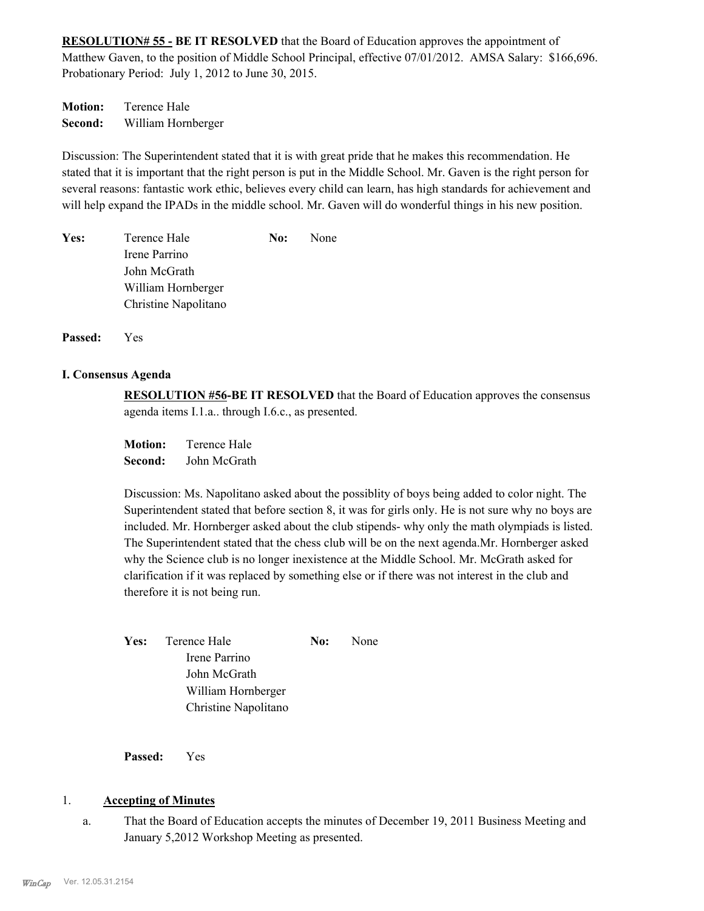**RESOLUTION# 55 - BE IT RESOLVED** that the Board of Education approves the appointment of Matthew Gaven, to the position of Middle School Principal, effective 07/01/2012. AMSA Salary: \$166,696. Probationary Period: July 1, 2012 to June 30, 2015.

**Motion:** Terence Hale **Second:** William Hornberger

Discussion: The Superintendent stated that it is with great pride that he makes this recommendation. He stated that it is important that the right person is put in the Middle School. Mr. Gaven is the right person for several reasons: fantastic work ethic, believes every child can learn, has high standards for achievement and will help expand the IPADs in the middle school. Mr. Gaven will do wonderful things in his new position.

| Yes: | Terence Hale         | No: | None |
|------|----------------------|-----|------|
|      | Irene Parrino        |     |      |
|      | John McGrath         |     |      |
|      | William Hornberger   |     |      |
|      | Christine Napolitano |     |      |
|      |                      |     |      |

**Passed:** Yes

#### **I. Consensus Agenda**

**RESOLUTION #56-BE IT RESOLVED** that the Board of Education approves the consensus agenda items I.1.a.. through I.6.c., as presented.

**Motion:** Terence Hale **Second:** John McGrath

Discussion: Ms. Napolitano asked about the possiblity of boys being added to color night. The Superintendent stated that before section 8, it was for girls only. He is not sure why no boys are included. Mr. Hornberger asked about the club stipends- why only the math olympiads is listed. The Superintendent stated that the chess club will be on the next agenda.Mr. Hornberger asked why the Science club is no longer inexistence at the Middle School. Mr. McGrath asked for clarification if it was replaced by something else or if there was not interest in the club and therefore it is not being run.

Yes: Terence Hale **No:** None Irene Parrino John McGrath William Hornberger Christine Napolitano

**Passed:** Yes

### 1. **Accepting of Minutes**

That the Board of Education accepts the minutes of December 19, 2011 Business Meeting and January 5,2012 Workshop Meeting as presented. a.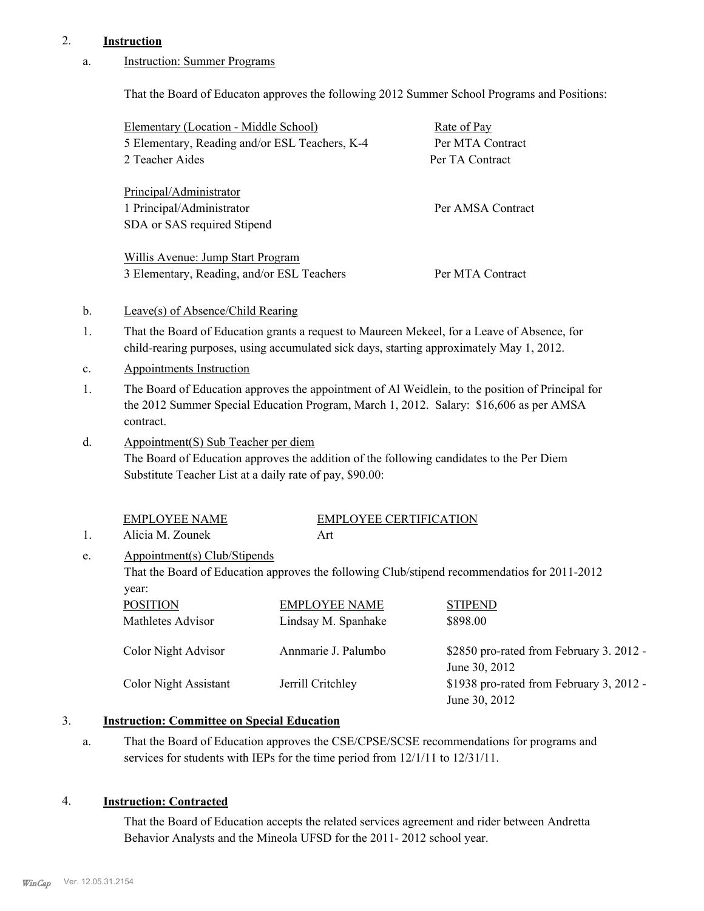## 2. **Instruction**

#### Instruction: Summer Programs a.

That the Board of Educaton approves the following 2012 Summer School Programs and Positions:

|                | Elementary (Location - Middle School)                                                           |                               | Rate of Pay                                                                                                                                                                                |
|----------------|-------------------------------------------------------------------------------------------------|-------------------------------|--------------------------------------------------------------------------------------------------------------------------------------------------------------------------------------------|
|                | 5 Elementary, Reading and/or ESL Teachers, K-4                                                  |                               | Per MTA Contract                                                                                                                                                                           |
|                | 2 Teacher Aides                                                                                 |                               | Per TA Contract                                                                                                                                                                            |
|                | Principal/Administrator                                                                         |                               |                                                                                                                                                                                            |
|                | 1 Principal/Administrator                                                                       |                               | Per AMSA Contract                                                                                                                                                                          |
|                | SDA or SAS required Stipend                                                                     |                               |                                                                                                                                                                                            |
|                | Willis Avenue: Jump Start Program                                                               |                               |                                                                                                                                                                                            |
|                | 3 Elementary, Reading, and/or ESL Teachers                                                      |                               | Per MTA Contract                                                                                                                                                                           |
| $\mathbf{b}$ . | Leave(s) of Absence/Child Rearing                                                               |                               |                                                                                                                                                                                            |
| 1.             |                                                                                                 |                               | That the Board of Education grants a request to Maureen Mekeel, for a Leave of Absence, for<br>child-rearing purposes, using accumulated sick days, starting approximately May 1, 2012.    |
| c.             | <b>Appointments Instruction</b>                                                                 |                               |                                                                                                                                                                                            |
| 1.             | contract.                                                                                       |                               | The Board of Education approves the appointment of Al Weidlein, to the position of Principal for<br>the 2012 Summer Special Education Program, March 1, 2012. Salary: \$16,606 as per AMSA |
| d.             | Appointment(S) Sub Teacher per diem<br>Substitute Teacher List at a daily rate of pay, \$90.00: |                               | The Board of Education approves the addition of the following candidates to the Per Diem                                                                                                   |
|                | <b>EMPLOYEE NAME</b>                                                                            | <b>EMPLOYEE CERTIFICATION</b> |                                                                                                                                                                                            |
| 1.             | Alicia M. Zounek                                                                                | Art                           |                                                                                                                                                                                            |
| e.             | Appointment(s) Club/Stipends                                                                    |                               |                                                                                                                                                                                            |
|                |                                                                                                 |                               | That the Board of Education approves the following Club/stipend recommendatios for 2011-2012                                                                                               |
|                | year:                                                                                           |                               |                                                                                                                                                                                            |
|                | <b>POSITION</b>                                                                                 | <b>EMPLOYEE NAME</b>          | <b>STIPEND</b>                                                                                                                                                                             |
|                | Mathletes Advisor                                                                               | Lindsay M. Spanhake           | \$898.00                                                                                                                                                                                   |
|                | <b>Color Night Advisor</b>                                                                      | Annmarie J. Palumbo           | \$2850 pro-rated from February 3. 2012 -<br>June 30, 2012                                                                                                                                  |
|                | <b>Color Night Assistant</b>                                                                    | Jerrill Critchley             | \$1938 pro-rated from February 3, 2012 -<br>June 30, 2012                                                                                                                                  |
| 3.             | <b>Instruction: Committee on Special Education</b>                                              |                               |                                                                                                                                                                                            |

That the Board of Education approves the CSE/CPSE/SCSE recommendations for programs and services for students with IEPs for the time period from 12/1/11 to 12/31/11. a.

### 4. **Instruction: Contracted**

That the Board of Education accepts the related services agreement and rider between Andretta Behavior Analysts and the Mineola UFSD for the 2011- 2012 school year.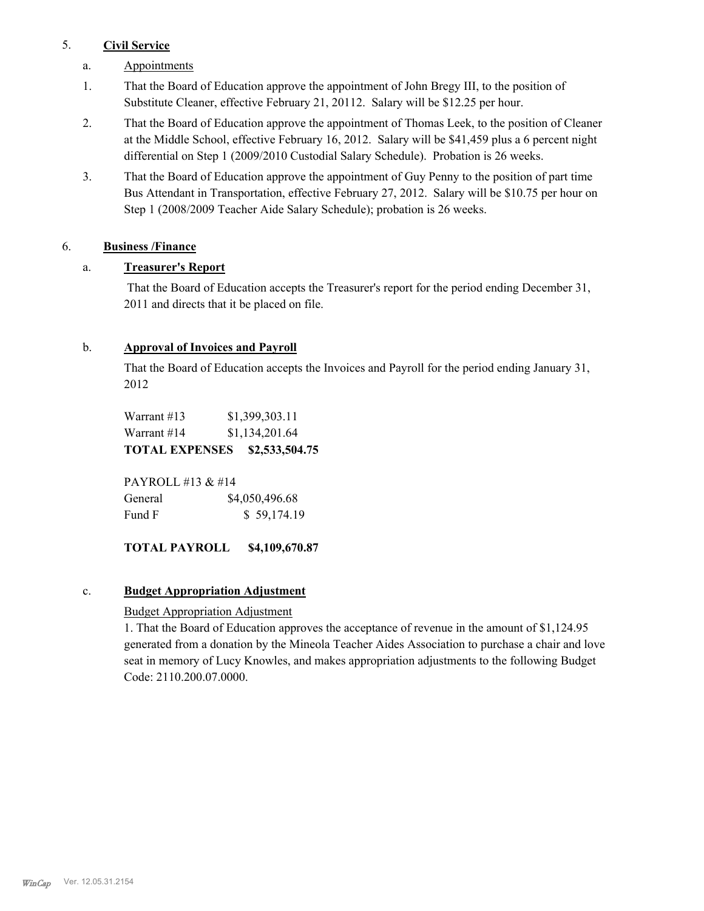## 5. **Civil Service**

- a. Appointments
- That the Board of Education approve the appointment of John Bregy III, to the position of Substitute Cleaner, effective February 21, 20112. Salary will be \$12.25 per hour. 1.
- That the Board of Education approve the appointment of Thomas Leek, to the position of Cleaner at the Middle School, effective February 16, 2012. Salary will be \$41,459 plus a 6 percent night differential on Step 1 (2009/2010 Custodial Salary Schedule). Probation is 26 weeks. 2.
- That the Board of Education approve the appointment of Guy Penny to the position of part time Bus Attendant in Transportation, effective February 27, 2012. Salary will be \$10.75 per hour on Step 1 (2008/2009 Teacher Aide Salary Schedule); probation is 26 weeks. 3.

## 6. **Business /Finance**

## a. **Treasurer's Report**

 That the Board of Education accepts the Treasurer's report for the period ending December 31, 2011 and directs that it be placed on file.

## b. **Approval of Invoices and Payroll**

That the Board of Education accepts the Invoices and Payroll for the period ending January 31, 2012

Warrant #13 \$1,399,303.11 Warrant #14 \$1,134,201.64 **TOTAL EXPENSES \$2,533,504.75**

PAYROLL #13 & #14 General  $$4,050,496.68$ Fund F  $$ 59,174.19$ 

## **TOTAL PAYROLL \$4,109,670.87**

### c. **Budget Appropriation Adjustment**

### Budget Appropriation Adjustment

1. That the Board of Education approves the acceptance of revenue in the amount of \$1,124.95 generated from a donation by the Mineola Teacher Aides Association to purchase a chair and love seat in memory of Lucy Knowles, and makes appropriation adjustments to the following Budget Code: 2110.200.07.0000.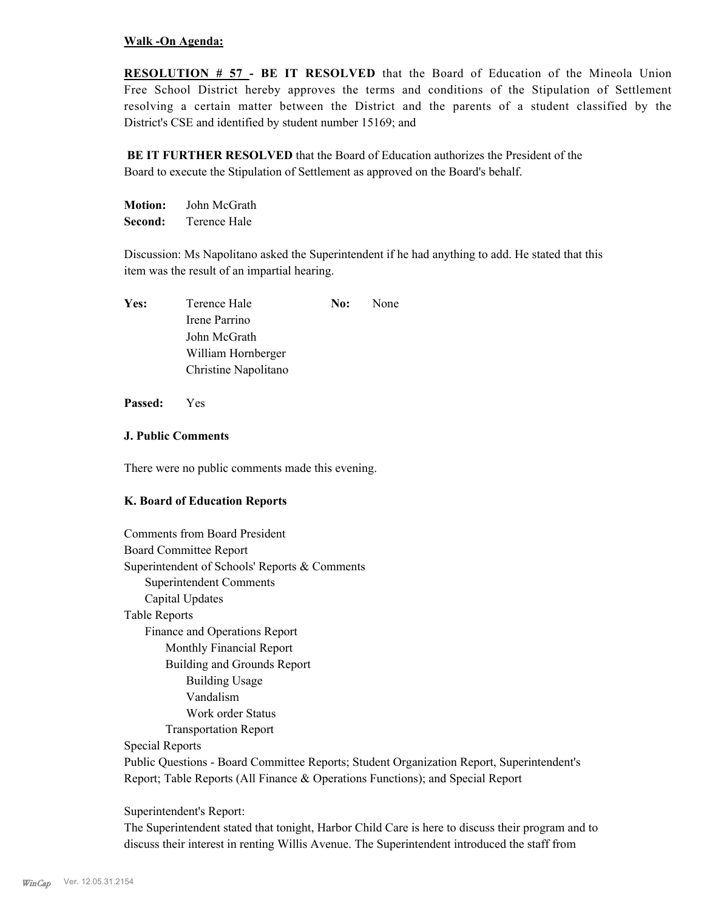#### **Walk -On Agenda:**

**RESOLUTION # 57 - BE IT RESOLVED** that the Board of Education of the Mineola Union Free School District hereby approves the terms and conditions of the Stipulation of Settlement resolving a certain matter between the District and the parents of a student classified by the District's CSE and identified by student number 15169; and

**BE IT FURTHER RESOLVED** that the Board of Education authorizes the President of the Board to execute the Stipulation of Settlement as approved on the Board's behalf.

**Motion:** John McGrath **Second:** Terence Hale

Discussion: Ms Napolitano asked the Superintendent if he had anything to add. He stated that this item was the result of an impartial hearing.

| Yes: | Terence Hale         | No: | None |
|------|----------------------|-----|------|
|      | Irene Parrino        |     |      |
|      | John McGrath         |     |      |
|      | William Hornberger   |     |      |
|      | Christine Napolitano |     |      |

**Passed:** Yes

### **J. Public Comments**

There were no public comments made this evening.

### **K. Board of Education Reports**

| <b>Comments from Board President</b>                                                      |
|-------------------------------------------------------------------------------------------|
| <b>Board Committee Report</b>                                                             |
| Superintendent of Schools' Reports & Comments                                             |
| Superintendent Comments                                                                   |
| Capital Updates                                                                           |
| <b>Table Reports</b>                                                                      |
| Finance and Operations Report                                                             |
| Monthly Financial Report                                                                  |
| Building and Grounds Report                                                               |
| <b>Building Usage</b>                                                                     |
| Vandalism                                                                                 |
| Work order Status                                                                         |
| <b>Transportation Report</b>                                                              |
| Special Reports                                                                           |
| Public Questions - Board Committee Reports; Student Organization Report, Superintendent's |

Report; Table Reports (All Finance & Operations Functions); and Special Report

Superintendent's Report:

The Superintendent stated that tonight, Harbor Child Care is here to discuss their program and to discuss their interest in renting Willis Avenue. The Superintendent introduced the staff from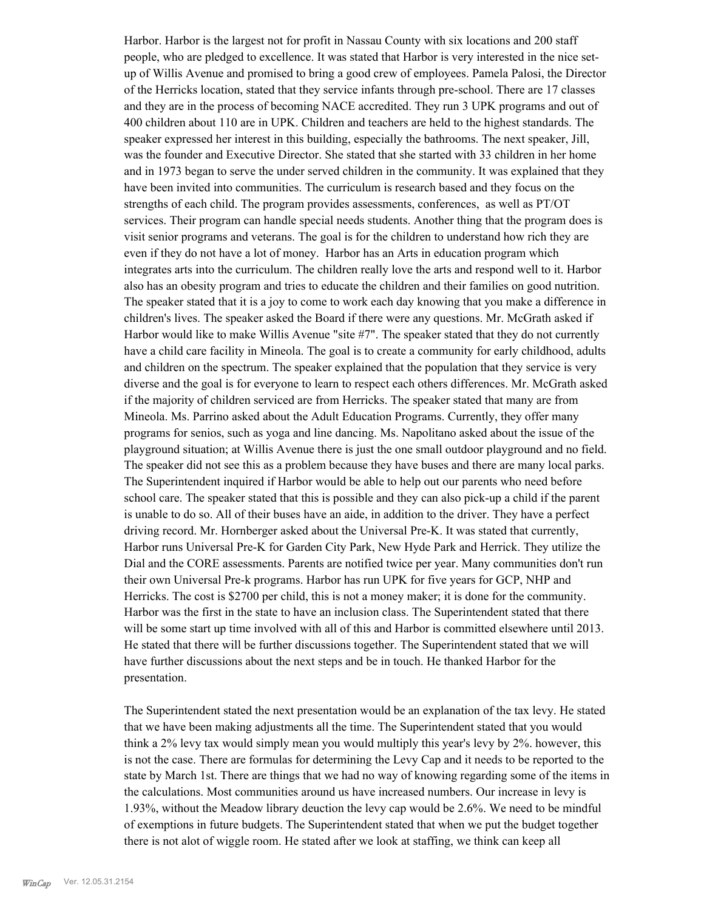Harbor. Harbor is the largest not for profit in Nassau County with six locations and 200 staff people, who are pledged to excellence. It was stated that Harbor is very interested in the nice setup of Willis Avenue and promised to bring a good crew of employees. Pamela Palosi, the Director of the Herricks location, stated that they service infants through pre-school. There are 17 classes and they are in the process of becoming NACE accredited. They run 3 UPK programs and out of 400 children about 110 are in UPK. Children and teachers are held to the highest standards. The speaker expressed her interest in this building, especially the bathrooms. The next speaker, Jill, was the founder and Executive Director. She stated that she started with 33 children in her home and in 1973 began to serve the under served children in the community. It was explained that they have been invited into communities. The curriculum is research based and they focus on the strengths of each child. The program provides assessments, conferences, as well as PT/OT services. Their program can handle special needs students. Another thing that the program does is visit senior programs and veterans. The goal is for the children to understand how rich they are even if they do not have a lot of money. Harbor has an Arts in education program which integrates arts into the curriculum. The children really love the arts and respond well to it. Harbor also has an obesity program and tries to educate the children and their families on good nutrition. The speaker stated that it is a joy to come to work each day knowing that you make a difference in children's lives. The speaker asked the Board if there were any questions. Mr. McGrath asked if Harbor would like to make Willis Avenue "site #7". The speaker stated that they do not currently have a child care facility in Mineola. The goal is to create a community for early childhood, adults and children on the spectrum. The speaker explained that the population that they service is very diverse and the goal is for everyone to learn to respect each others differences. Mr. McGrath asked if the majority of children serviced are from Herricks. The speaker stated that many are from Mineola. Ms. Parrino asked about the Adult Education Programs. Currently, they offer many programs for senios, such as yoga and line dancing. Ms. Napolitano asked about the issue of the playground situation; at Willis Avenue there is just the one small outdoor playground and no field. The speaker did not see this as a problem because they have buses and there are many local parks. The Superintendent inquired if Harbor would be able to help out our parents who need before school care. The speaker stated that this is possible and they can also pick-up a child if the parent is unable to do so. All of their buses have an aide, in addition to the driver. They have a perfect driving record. Mr. Hornberger asked about the Universal Pre-K. It was stated that currently, Harbor runs Universal Pre-K for Garden City Park, New Hyde Park and Herrick. They utilize the Dial and the CORE assessments. Parents are notified twice per year. Many communities don't run their own Universal Pre-k programs. Harbor has run UPK for five years for GCP, NHP and Herricks. The cost is \$2700 per child, this is not a money maker; it is done for the community. Harbor was the first in the state to have an inclusion class. The Superintendent stated that there will be some start up time involved with all of this and Harbor is committed elsewhere until 2013. He stated that there will be further discussions together. The Superintendent stated that we will have further discussions about the next steps and be in touch. He thanked Harbor for the presentation.

The Superintendent stated the next presentation would be an explanation of the tax levy. He stated that we have been making adjustments all the time. The Superintendent stated that you would think a 2% levy tax would simply mean you would multiply this year's levy by 2%. however, this is not the case. There are formulas for determining the Levy Cap and it needs to be reported to the state by March 1st. There are things that we had no way of knowing regarding some of the items in the calculations. Most communities around us have increased numbers. Our increase in levy is 1.93%, without the Meadow library deuction the levy cap would be 2.6%. We need to be mindful of exemptions in future budgets. The Superintendent stated that when we put the budget together there is not alot of wiggle room. He stated after we look at staffing, we think can keep all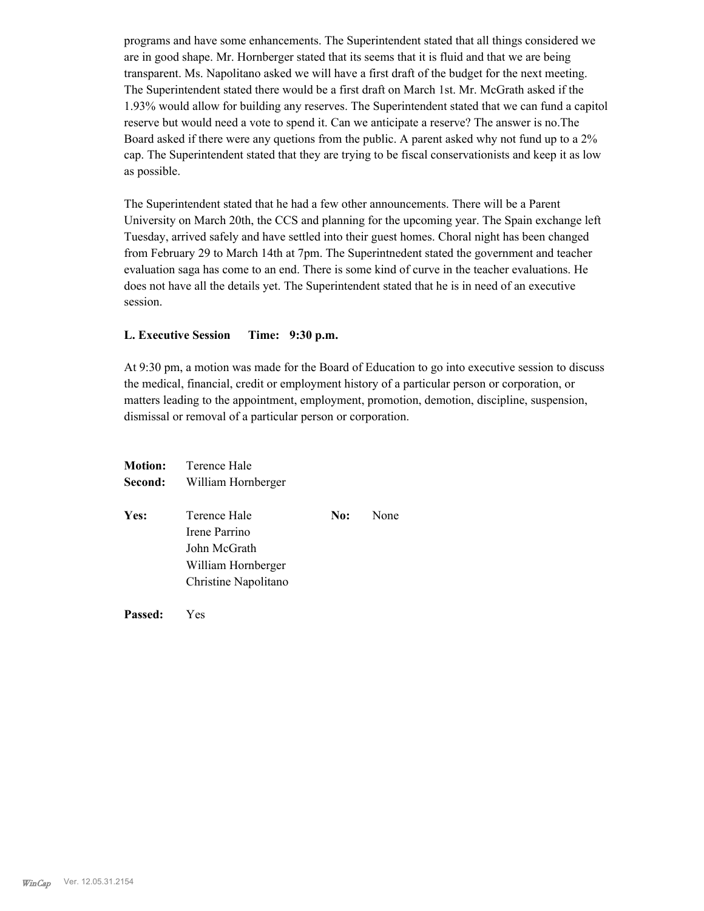programs and have some enhancements. The Superintendent stated that all things considered we are in good shape. Mr. Hornberger stated that its seems that it is fluid and that we are being transparent. Ms. Napolitano asked we will have a first draft of the budget for the next meeting. The Superintendent stated there would be a first draft on March 1st. Mr. McGrath asked if the 1.93% would allow for building any reserves. The Superintendent stated that we can fund a capitol reserve but would need a vote to spend it. Can we anticipate a reserve? The answer is no.The Board asked if there were any quetions from the public. A parent asked why not fund up to a 2% cap. The Superintendent stated that they are trying to be fiscal conservationists and keep it as low as possible.

The Superintendent stated that he had a few other announcements. There will be a Parent University on March 20th, the CCS and planning for the upcoming year. The Spain exchange left Tuesday, arrived safely and have settled into their guest homes. Choral night has been changed from February 29 to March 14th at 7pm. The Superintnedent stated the government and teacher evaluation saga has come to an end. There is some kind of curve in the teacher evaluations. He does not have all the details yet. The Superintendent stated that he is in need of an executive session.

#### **L. Executive Session Time: 9:30 p.m.**

At 9:30 pm, a motion was made for the Board of Education to go into executive session to discuss the medical, financial, credit or employment history of a particular person or corporation, or matters leading to the appointment, employment, promotion, demotion, discipline, suspension, dismissal or removal of a particular person or corporation.

|         | <b>Motion:</b> Terence Hale |     |      |  |
|---------|-----------------------------|-----|------|--|
| Second: | William Hornberger          |     |      |  |
| Yes:    | Terence Hale                | No: | None |  |
|         | Irene Parrino               |     |      |  |
|         | John McGrath                |     |      |  |
|         | William Hornberger          |     |      |  |
|         | Christine Napolitano        |     |      |  |
|         |                             |     |      |  |

**Passed:** Yes